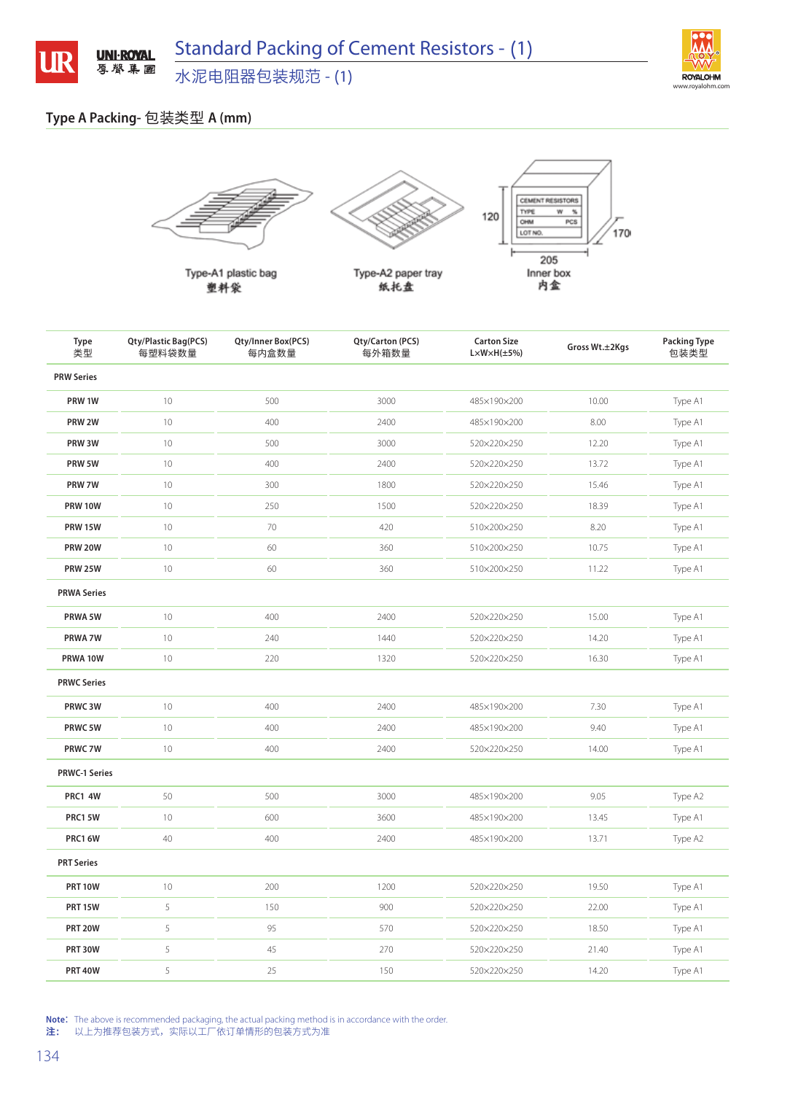

## **Type A Packing-** 包装类型 **A (mm)**



Type-A1 plastic bag 塑料袋



Type-A2 paper tray 纸托盘



**Type** 类型 **Qty/Plastic Bag(PCS)** 每塑料袋数量 **Qty/Inner Box(PCS)** 每内盒数量 **Qty/Carton (PCS)** 每外箱数量 **Carton Size L×W×H(±5%) Gross Wt.±2Kgs Packing Type** 包装类型 **PRW Series PRW 1W** 10 500 500 3000 485×190×200 10.00 Type A1 **PRW 2W** 10 400 2400 485×190×200 8.00 Type A1 **PRW 3W** 10 500 500 3000 500 520×220×250 12.20 Type A1 **PRW 5W** 10 10 400 400 2400 520×220×250 13.72 Type A1 **PRW 7W** 10 300 300 1800 520x220x250 15.46 Type A1 **PRW 10W** 10 10 250 250 1500 1500 520x220x250 18.39 Type A1 **PRW 15W** 10 10 70 70 420 510x200x250 8.20 58.20 Type A1 **PRW 20W** 10 360 360 510×200×250 10.75 Type A1 **PRW 25W** 10 510×200×250 510×200×250 11.22 Type A1 **PRWA Series PRWA 5W** 10 10 400 400 2400 2400 520×220×250 15.00 Type A1 **PRWA 7W** 10 10 240 240 1440 520x220x250 14.20 14.20 Type A1 **PRWA 10W** 10 220 1320 520×220×250 16.30 Type A1 **PRWC Series PRWC 3W** 10 10 400 400 2400 2400 485×190×200 7.30 Type A1 **PRWC 5W** 10 400 2400 485×190×200 9.40 Type A1 **PRWC 7W** 10 10 400 400 2400 2400 520×220×250 14.00 Type A1 **PRWC-1 Series PRC1 4W** 50 500 500 500 3000 485×190×200 9.05 505 Type A2 **PRC1 5W** 10 10 600 600 3600 485×190×200 13.45 Type A1 **PRC1 6W** 40 40 400 400 2400 2400 485×190×200 13.71 Type A2 **PRT Series PRT 10W** 10 200 200 1200 520×220×250 19.50 19.50 Type A1 **PRT 15W** 5 150 900 520×220×250 22.00 Type A1 **PRT 20W** 5 95 570 520×220×250 18.50 Type A1 **PRT 30W** 5 5 270 270 520x220x250 21.40 Type A1 **PRT 40W** 5 25 25 25 150 520×220×250 14.20 Type A1

**Note:** The above is recommended packaging, the actual packing method is in accordance with the order.<br>注: 以上为推荐包装方式,实际以工厂依订单情形的包装方式为准

注: 以上为推荐包装方式,实际以工厂依订单情形的包装方式为准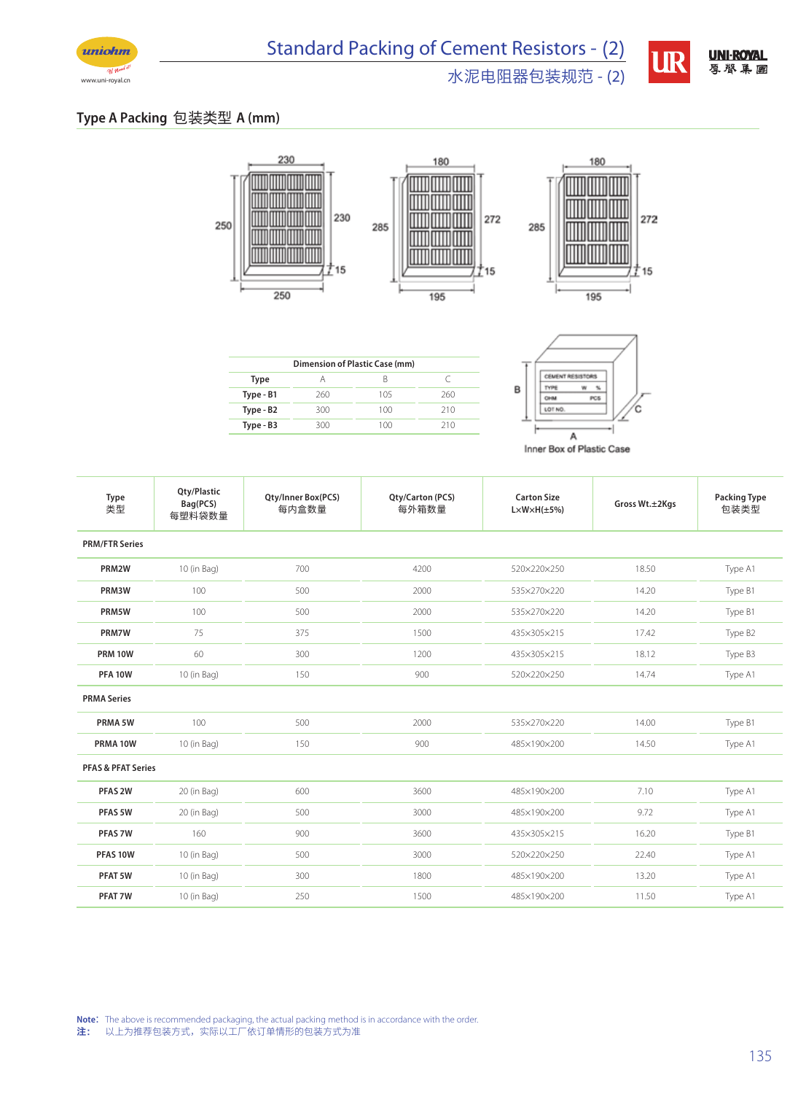

## 水泥电阻器包装规范 - (2)



**UR** 

## **Type A Packing** 包装类型 **A (mm)**





| Dimension of Plastic Case (mm) |     |     |     |  |  |  |  |  |
|--------------------------------|-----|-----|-----|--|--|--|--|--|
| Type                           |     | В   | C   |  |  |  |  |  |
| Type - B1                      | 260 | 105 | 260 |  |  |  |  |  |
| Type - B2                      | 300 | 100 | 210 |  |  |  |  |  |
| Type - B3                      | 300 | 100 | 710 |  |  |  |  |  |
|                                |     |     |     |  |  |  |  |  |



Inner Box of Plastic Case

| Type<br>类型                    | Qty/Plastic<br>Bag(PCS)<br>每塑料袋数量 | Qty/Inner Box(PCS)<br>每内盒数量 | Qty/Carton (PCS)<br>每外箱数量 | <b>Carton Size</b><br>$L \times W \times H(\pm 5\%)$ | Gross Wt.±2Kgs | <b>Packing Type</b><br>包装类型 |
|-------------------------------|-----------------------------------|-----------------------------|---------------------------|------------------------------------------------------|----------------|-----------------------------|
| <b>PRM/FTR Series</b>         |                                   |                             |                           |                                                      |                |                             |
| PRM2W                         | 10 (in Bag)                       | 700                         | 4200                      | 520×220×250                                          | 18.50          | Type A1                     |
| PRM3W                         | 100                               | 500                         | 2000                      | 535×270×220                                          | 14.20          | Type B1                     |
| PRM5W                         | 100                               | 500                         | 2000                      | 535×270×220                                          | 14.20          | Type B1                     |
| <b>PRM7W</b>                  | 75                                | 375                         | 1500                      | 435×305×215                                          | 17.42          | Type B2                     |
| <b>PRM 10W</b>                | 60                                | 300                         | 1200                      | 435×305×215                                          | 18.12          | Type B3                     |
| <b>PFA 10W</b>                | 10 (in Bag)                       | 150                         | 900                       | 520×220×250                                          | 14.74          | Type A1                     |
| <b>PRMA Series</b>            |                                   |                             |                           |                                                      |                |                             |
| PRMA 5W                       | 100                               | 500                         | 2000                      | 535×270×220                                          | 14.00          | Type B1                     |
| PRMA 10W                      | 10 (in Bag)                       | 150                         | 900                       | 485×190×200                                          | 14.50          | Type A1                     |
| <b>PFAS &amp; PFAT Series</b> |                                   |                             |                           |                                                      |                |                             |
| PFAS <sub>2W</sub>            | 20 (in Bag)                       | 600                         | 3600                      | 485×190×200                                          | 7.10           | Type A1                     |
| PFAS 5W                       | 20 (in Bag)                       | 500                         | 3000                      | 485×190×200                                          | 9.72           | Type A1                     |
| PFAS 7W                       | 160                               | 900                         | 3600                      | 435×305×215                                          | 16.20          | Type B1                     |
| PFAS 10W                      | 10 (in Bag)                       | 500                         | 3000                      | 520×220×250                                          | 22.40          | Type A1                     |
| PFAT 5W                       | 10 (in Bag)                       | 300                         | 1800                      | 485×190×200                                          | 13.20          | Type A1                     |
| PFAT 7W                       | 10 (in Bag)                       | 250                         | 1500                      | 485×190×200                                          | 11.50          | Type A1                     |